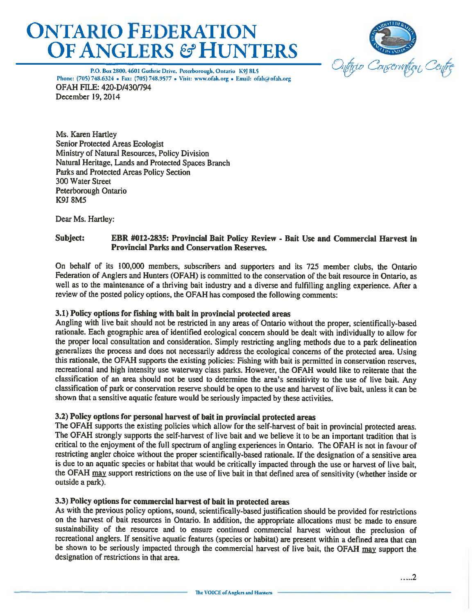# **ONTARIO FEDERATION OF ANGLERS & HUNTERS**



P.O. Box 2800, 4601 Guthrie Drive, Peterborough, Ontario K9J 8L5 Phone: (705) 748.6324 • Fax: (705) 748.9577 • Visit: www.ofah.org • Email: ofah@ofah.org **OFAH FILE: 420-D/430/794** December 19, 2014

Ms. Karen Hartley **Senior Protected Areas Ecologist** Ministry of Natural Resources, Policy Division Natural Heritage, Lands and Protected Spaces Branch Parks and Protected Areas Policy Section 300 Water Street Peterborough Ontario **K9J 8M5** 

Dear Ms. Hartley:

#### Subject: EBR #012-2835: Provincial Bait Policy Review - Bait Use and Commercial Harvest in **Provincial Parks and Conservation Reserves.**

On behalf of its 100,000 members, subscribers and supporters and its 725 member clubs, the Ontario Federation of Anglers and Hunters (OFAH) is committed to the conservation of the bait resource in Ontario, as well as to the maintenance of a thriving bait industry and a diverse and fulfilling angling experience. After a review of the posted policy options, the OFAH has composed the following comments:

# 3.1) Policy options for fishing with bait in provincial protected areas

Angling with live bait should not be restricted in any areas of Ontario without the proper, scientifically-based rationale. Each geographic area of identified ecological concern should be dealt with individually to allow for the proper local consultation and consideration. Simply restricting angling methods due to a park delineation generalizes the process and does not necessarily address the ecological concerns of the protected area. Using this rationale, the OFAH supports the existing policies: Fishing with bait is permitted in conservation reserves, recreational and high intensity use waterway class parks. However, the OFAH would like to reiterate that the classification of an area should not be used to determine the area's sensitivity to the use of live bait. Any classification of park or conservation reserve should be open to the use and harvest of live bait, unless it can be shown that a sensitive aquatic feature would be seriously impacted by these activities.

# 3.2) Policy options for personal harvest of bait in provincial protected areas

The OFAH supports the existing policies which allow for the self-harvest of bait in provincial protected areas. The OFAH strongly supports the self-harvest of live bait and we believe it to be an important tradition that is critical to the enjoyment of the full spectrum of angling experiences in Ontario. The OFAH is not in favour of restricting angler choice without the proper scientifically-based rationale. If the designation of a sensitive area is due to an aquatic species or habitat that would be critically impacted through the use or harvest of live bait, the OFAH may support restrictions on the use of live bait in that defined area of sensitivity (whether inside or outside a park).

# 3.3) Policy options for commercial harvest of bait in protected areas

As with the previous policy options, sound, scientifically-based justification should be provided for restrictions on the harvest of bait resources in Ontario. In addition, the appropriate allocations must be made to ensure sustainability of the resource and to ensure continued commercial harvest without the preclusion of recreational anglers. If sensitive aquatic features (species or habitat) are present within a defined area that can be shown to be seriously impacted through the commercial harvest of live bait, the OFAH may support the designation of restrictions in that area.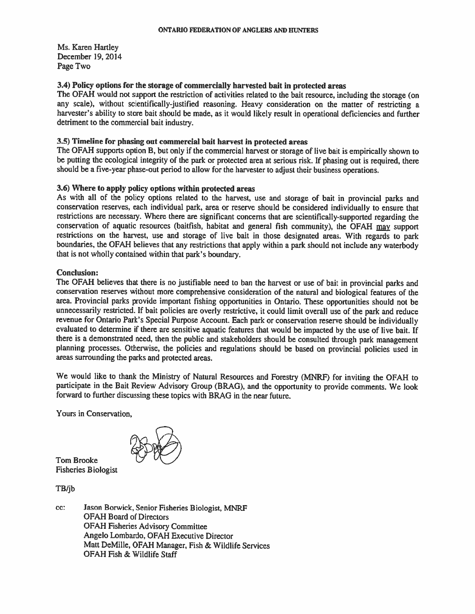Ms. Karen Hartley December 19, 2014 Page Two

## 3.4) Policy options for the storage of commercially harvested bait in protected areas

The OFAH would not support the restriction of activities related to the bait resource, including the storage (on any scale), without scientifically-justified reasoning. Heavy consideration on the matter of restricting a harvester's ability to store bait should be made, as it would likely result in operational deficiencies and further detriment to the commercial bait industry.

# 3.5) Timeline for phasing out commercial bait harvest in protected areas

The OFAH supports option B, but only if the commercial harvest or storage of live bait is empirically shown to be putting the ecological integrity of the park or protected area at serious risk. If phasing out is required, there should be a five-year phase-out period to allow for the harvester to adjust their business operations.

## 3.6) Where to apply policy options within protected areas

As with all of the policy options related to the harvest, use and storage of bait in provincial parks and conservation reserves, each individual park, area or reserve should be considered individually to ensure that restrictions are necessary. Where there are significant concerns that are scientifically-supported regarding the conservation of aquatic resources (baitfish, habitat and general fish community), the OFAH may support restrictions on the harvest, use and storage of live bait in those designated areas. With regards to park boundaries, the OFAH believes that any restrictions that apply within a park should not include any waterbody that is not wholly contained within that park's boundary.

## **Conclusion:**

The OFAH believes that there is no justifiable need to ban the harvest or use of bait in provincial parks and conservation reserves without more comprehensive consideration of the natural and biological features of the area. Provincial parks provide important fishing opportunities in Ontario. These opportunities should not be unnecessarily restricted. If bait policies are overly restrictive, it could limit overall use of the park and reduce revenue for Ontario Park's Special Purpose Account. Each park or conservation reserve should be individually evaluated to determine if there are sensitive aquatic features that would be impacted by the use of live bait. If there is a demonstrated need, then the public and stakeholders should be consulted through park management planning processes. Otherwise, the policies and regulations should be based on provincial policies used in areas surrounding the parks and protected areas.

We would like to thank the Ministry of Natural Resources and Forestry (MNRF) for inviting the OFAH to participate in the Bait Review Advisory Group (BRAG), and the opportunity to provide comments. We look forward to further discussing these topics with BRAG in the near future.

Yours in Conservation,



**Tom Brooke Fisheries Biologist** 

TB/jb

cc: Jason Borwick, Senior Fisheries Biologist, MNRF **OFAH Board of Directors OFAH Fisheries Advisory Committee** Angelo Lombardo, OFAH Executive Director Matt DeMille, OFAH Manager, Fish & Wildlife Services OFAH Fish & Wildlife Staff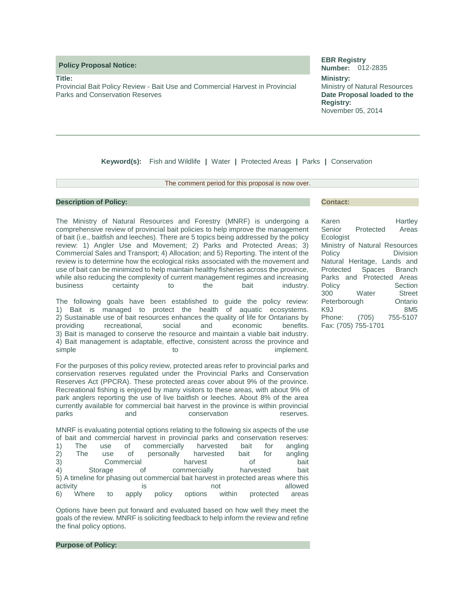**Policy Proposal Notice:** 

**Title:**

Provincial Bait Policy Review - Bait Use and Commercial Harvest in Provincial Parks and Conservation Reserves

#### **EBR Registry Number:** 012-2835

**Ministry:** Ministry of Natural Resources **Date Proposal loaded to the Registry:** November 05, 2014

**Keyword(s):** Fish and Wildlife **|** Water **|** Protected Areas **|** Parks **|** Conservation

## The comment period for this proposal is now over.

## **Description of Policy:**

The Ministry of Natural Resources and Forestry (MNRF) is undergoing a comprehensive review of provincial bait policies to help improve the management of bait (i.e., baitfish and leeches). There are 5 topics being addressed by the policy review: 1) Angler Use and Movement; 2) Parks and Protected Areas; 3) Commercial Sales and Transport; 4) Allocation; and 5) Reporting. The intent of the review is to determine how the ecological risks associated with the movement and use of bait can be minimized to help maintain healthy fisheries across the province, while also reducing the complexity of current management regimes and increasing business certainty to the bait industry.

The following goals have been established to guide the policy review: 1) Bait is managed to protect the health of aquatic ecosystems. 2) Sustainable use of bait resources enhances the quality of life for Ontarians by providing recreational, social and economic benefits. 3) Bait is managed to conserve the resource and maintain a viable bait industry. 4) Bait management is adaptable, effective, consistent across the province and simple to the to implement.

For the purposes of this policy review, protected areas refer to provincial parks and conservation reserves regulated under the Provincial Parks and Conservation Reserves Act (PPCRA). These protected areas cover about 9% of the province. Recreational fishing is enjoyed by many visitors to these areas, with about 9% of park anglers reporting the use of live baitfish or leeches. About 8% of the area currently available for commercial bait harvest in the province is within provincial parks and conservation reserves.

MNRF is evaluating potential options relating to the following six aspects of the use of bait and commercial harvest in provincial parks and conservation reserves: 1) The use of commercially harvested bait for angling 2) The use of personally harvested bait for angling 3) Commercial harvest of bait 4) Storage of commercially harvested bait 5) A timeline for phasing out commercial bait harvest in protected areas where this activity and allowed is the motion of allowed and allowed 6) Where to apply policy options within protected areas

Options have been put forward and evaluated based on how well they meet the goals of the review. MNRF is soliciting feedback to help inform the review and refine the final policy options.

**Purpose of Policy:** 

## **Contact:**

| Karen                         |           | Hartley         |  |  |  |  |  |  |  |
|-------------------------------|-----------|-----------------|--|--|--|--|--|--|--|
| Senior                        | Protected | Areas           |  |  |  |  |  |  |  |
| Ecologist                     |           |                 |  |  |  |  |  |  |  |
| Ministry of Natural Resources |           |                 |  |  |  |  |  |  |  |
| Policy                        |           | Division        |  |  |  |  |  |  |  |
| Natural Heritage, Lands and   |           |                 |  |  |  |  |  |  |  |
| Protected Spaces Branch       |           |                 |  |  |  |  |  |  |  |
| Parks and Protected Areas     |           |                 |  |  |  |  |  |  |  |
| Policy                        |           | Section         |  |  |  |  |  |  |  |
| 300                           | Water     | <b>Street</b>   |  |  |  |  |  |  |  |
| Peterborough                  |           | Ontario         |  |  |  |  |  |  |  |
| K9J                           |           | 8M <sub>5</sub> |  |  |  |  |  |  |  |
| Phone: (705)                  |           | 755-5107        |  |  |  |  |  |  |  |
| Fax: (705) 755-1701           |           |                 |  |  |  |  |  |  |  |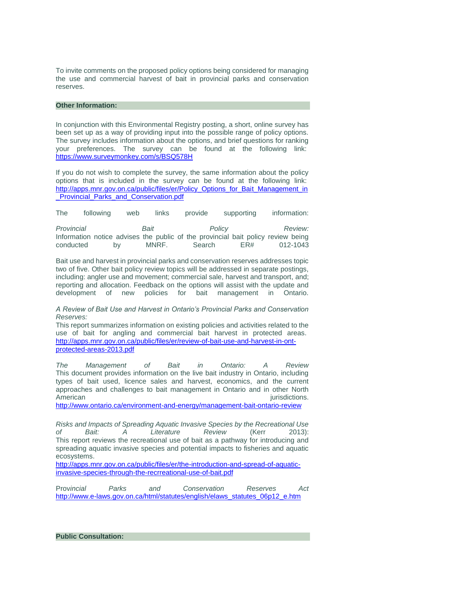To invite comments on the proposed policy options being considered for managing the use and commercial harvest of bait in provincial parks and conservation reserves.

## **Other Information:**

In conjunction with this Environmental Registry posting, a short, online survey has been set up as a way of providing input into the possible range of policy options. The survey includes information about the options, and brief questions for ranking your preferences. The survey can be found at the following link: <https://www.surveymonkey.com/s/BSQ578H>

If you do not wish to complete the survey, the same information about the policy options that is included in the survey can be found at the following link: [http://apps.mnr.gov.on.ca/public/files/er/Policy\\_Options\\_for\\_Bait\\_Management\\_in](http://apps.mnr.gov.on.ca/public/files/er/Policy_Options_for_Bait_Management_in_Provincial_Parks_and_Conservation.pdf) [\\_Provincial\\_Parks\\_and\\_Conservation.pdf](http://apps.mnr.gov.on.ca/public/files/er/Policy_Options_for_Bait_Management_in_Provincial_Parks_and_Conservation.pdf) 

The following web links provide supporting information:

| Provincial                                                                       |    |  | Bait  |  |        | Policy |     |  |          | Review: |
|----------------------------------------------------------------------------------|----|--|-------|--|--------|--------|-----|--|----------|---------|
| Information notice advises the public of the provincial bait policy review being |    |  |       |  |        |        |     |  |          |         |
| conducted                                                                        | bv |  | MNRF. |  | Search |        | ER# |  | 012-1043 |         |

Bait use and harvest in provincial parks and conservation reserves addresses topic two of five. Other bait policy review topics will be addressed in separate postings, including: angler use and movement; commercial sale, harvest and transport, and; reporting and allocation. Feedback on the options will assist with the update and development of new policies for bait management in Ontario.

## *A Review of Bait Use and Harvest in Ontario's Provincial Parks and Conservation Reserves:*

This report summarizes information on existing policies and activities related to the use of bait for angling and commercial bait harvest in protected areas. [http://apps.mnr.gov.on.ca/public/files/er/review-of-bait-use-and-harvest-in-ont](http://apps.mnr.gov.on.ca/public/files/er/review-of-bait-use-and-harvest-in-ont-protected-areas-2013.pdf)[protected-areas-2013.pdf](http://apps.mnr.gov.on.ca/public/files/er/review-of-bait-use-and-harvest-in-ont-protected-areas-2013.pdf) 

*The Management of Bait in Ontario: A Review*  This document provides information on the live bait industry in Ontario, including types of bait used, licence sales and harvest, economics, and the current approaches and challenges to bait management in Ontario and in other North American interventions.

<http://www.ontario.ca/environment-and-energy/management-bait-ontario-review>

*Risks and Impacts of Spreading Aquatic Invasive Species by the Recreational Use of Bait: A Literature Review* (Kerr 2013): This report reviews the recreational use of bait as a pathway for introducing and spreading aquatic invasive species and potential impacts to fisheries and aquatic ecosystems.

[http://apps.mnr.gov.on.ca/public/files/er/the-introduction-and-spread-of-aquatic](http://apps.mnr.gov.on.ca/public/files/er/the-introduction-and-spread-of-aquatic-invasive-species-through-the-recrreational-use-of-bait.pdf)[invasive-species-through-the-recrreational-use-of-bait.pdf](http://apps.mnr.gov.on.ca/public/files/er/the-introduction-and-spread-of-aquatic-invasive-species-through-the-recrreational-use-of-bait.pdf) 

Prov*incial Parks and Conservation Reserves Act*  [http://www.e-laws.gov.on.ca/html/statutes/english/elaws\\_statutes\\_06p12\\_e.htm](http://www.e-laws.gov.on.ca/html/statutes/english/elaws_statutes_06p12_e.htm)

**Public Consultation:**